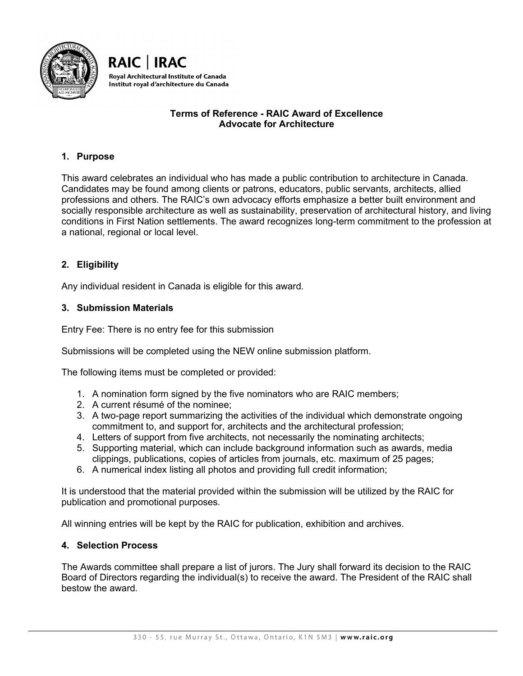



# **Terms of Reference - RAIC Award of Excellence Advocate for Architecture**

# **1. Purpose**

This award celebrates an individual who has made a public contribution to architecture in Canada. Candidates may be found among clients or patrons, educators, public servants, architects, allied professions and others. The RAIC's own advocacy efforts emphasize a better built environment and socially responsible architecture as well as sustainability, preservation of architectural history, and living conditions in First Nation settlements. The award recognizes long-term commitment to the profession at a national, regional or local level.

# **2. Eligibility**

Any individual resident in Canada is eligible for this award.

## **3. Submission Materials**

Entry Fee: There is no entry fee for this submission

Submissions will be completed using the NEW online submission platform.

The following items must be completed or provided:

- 1. A nomination form signed by the five nominators who are RAIC members;
- 2. A current résumé of the nominee;
- 3. A two-page report summarizing the activities of the individual which demonstrate ongoing commitment to, and support for, architects and the architectural profession;
- 4. Letters of support from five architects, not necessarily the nominating architects;
- 5. Supporting material, which can include background information such as awards, media clippings, publications, copies of articles from journals, etc. maximum of 25 pages;
- 6. A numerical index listing all photos and providing full credit information;

It is understood that the material provided within the submission will be utilized by the RAIC for publication and promotional purposes.

All winning entries will be kept by the RAIC for publication, exhibition and archives.

### **4. Selection Process**

The Awards committee shall prepare a list of jurors. The Jury shall forward its decision to the RAIC Board of Directors regarding the individual(s) to receive the award. The President of the RAIC shall bestow the award.